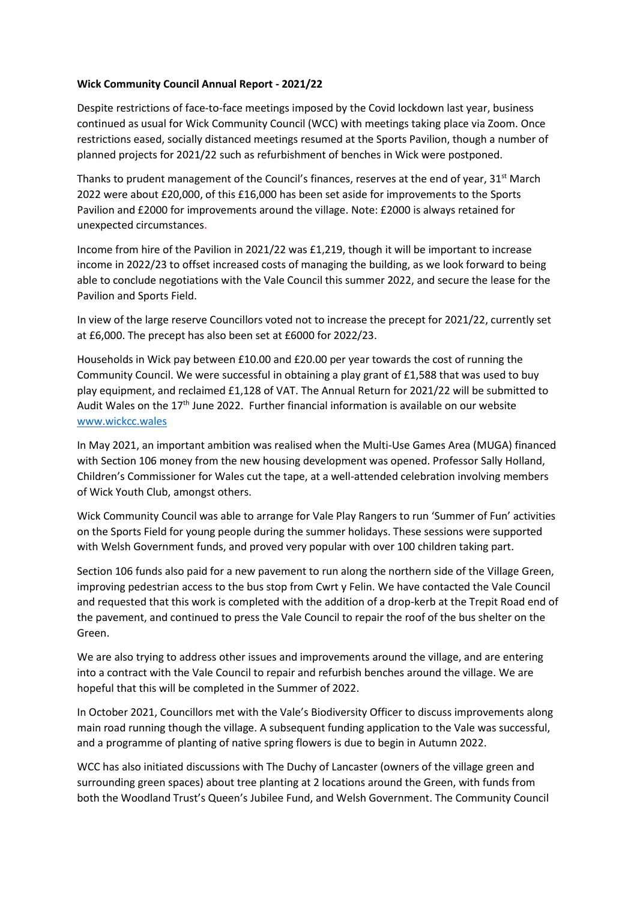## **Wick Community Council Annual Report - 2021/22**

Despite restrictions of face-to-face meetings imposed by the Covid lockdown last year, business continued as usual for Wick Community Council (WCC) with meetings taking place via Zoom. Once restrictions eased, socially distanced meetings resumed at the Sports Pavilion, though a number of planned projects for 2021/22 such as refurbishment of benches in Wick were postponed.

Thanks to prudent management of the Council's finances, reserves at the end of year, 31<sup>st</sup> March 2022 were about £20,000, of this £16,000 has been set aside for improvements to the Sports Pavilion and £2000 for improvements around the village. Note: £2000 is always retained for unexpected circumstances.

Income from hire of the Pavilion in 2021/22 was £1,219, though it will be important to increase income in 2022/23 to offset increased costs of managing the building, as we look forward to being able to conclude negotiations with the Vale Council this summer 2022, and secure the lease for the Pavilion and Sports Field.

In view of the large reserve Councillors voted not to increase the precept for 2021/22, currently set at £6,000. The precept has also been set at £6000 for 2022/23.

Households in Wick pay between £10.00 and £20.00 per year towards the cost of running the Community Council. We were successful in obtaining a play grant of £1,588 that was used to buy play equipment, and reclaimed £1,128 of VAT. The Annual Return for 2021/22 will be submitted to Audit Wales on the 17th June 2022. Further financial information is available on our website [www.wickcc.wales](http://www.wickcc.wales/)

In May 2021, an important ambition was realised when the Multi-Use Games Area (MUGA) financed with Section 106 money from the new housing development was opened. Professor Sally Holland, Children's Commissioner for Wales cut the tape, at a well-attended celebration involving members of Wick Youth Club, amongst others.

Wick Community Council was able to arrange for Vale Play Rangers to run 'Summer of Fun' activities on the Sports Field for young people during the summer holidays. These sessions were supported with Welsh Government funds, and proved very popular with over 100 children taking part.

Section 106 funds also paid for a new pavement to run along the northern side of the Village Green, improving pedestrian access to the bus stop from Cwrt y Felin. We have contacted the Vale Council and requested that this work is completed with the addition of a drop-kerb at the Trepit Road end of the pavement, and continued to press the Vale Council to repair the roof of the bus shelter on the Green.

We are also trying to address other issues and improvements around the village, and are entering into a contract with the Vale Council to repair and refurbish benches around the village. We are hopeful that this will be completed in the Summer of 2022.

In October 2021, Councillors met with the Vale's Biodiversity Officer to discuss improvements along main road running though the village. A subsequent funding application to the Vale was successful, and a programme of planting of native spring flowers is due to begin in Autumn 2022.

WCC has also initiated discussions with The Duchy of Lancaster (owners of the village green and surrounding green spaces) about tree planting at 2 locations around the Green, with funds from both the Woodland Trust's Queen's Jubilee Fund, and Welsh Government. The Community Council